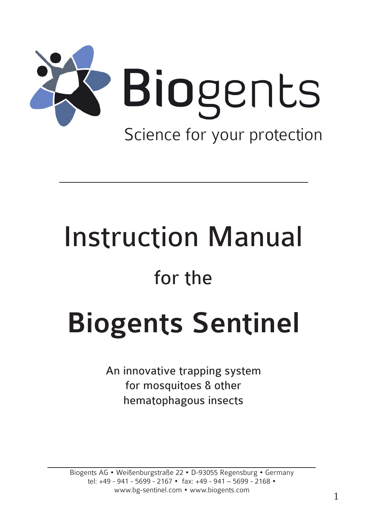

# Instruction Manual

## for the

## Biogents Sentinel

An innovative trapping system for mosquitoes & other hematophagous insects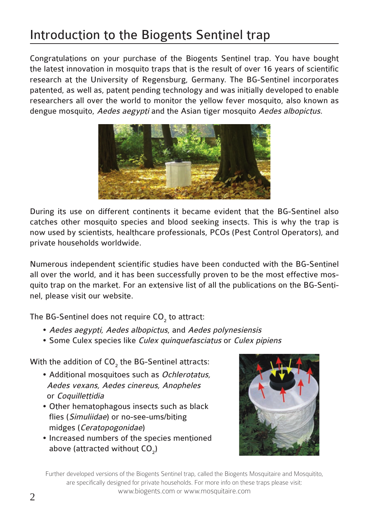## Introduction to the Biogents Sentinel trap

Congratulations on your purchase of the Biogents Sentinel trap. You have bought the latest innovation in mosquito traps that is the result of over 16 years of scientific research at the University of Regensburg, Germany. The BG-Sentinel incorporates patented, as well as, patent pending technology and was initially developed to enable researchers all over the world to monitor the yellow fever mosquito, also known as dengue mosquito, Aedes aegypti and the Asian tiger mosquito Aedes albopictus.



During its use on different continents it became evident that the BG-Sentinel also catches other mosquito species and blood seeking insects. This is why the trap is now used by scientists, healthcare professionals, PCOs (Pest Control Operators), and private households worldwide.

Numerous independent scientific studies have been conducted with the BG-Sentinel all over the world, and it has been successfully proven to be the most effective mosquito trap on the market. For an extensive list of all the publications on the BG-Sentinel, please visit our website.

The BG-Sentinel does not require CO<sub>2</sub> to attract:

- Aedes aegypti, Aedes albopictus, and Aedes polynesiensis
- Some Culex species like Culex quinquefasciatus or Culex pipiens

With the addition of  $\mathsf{CO}_2$  the BG-Sentinel attracts:

- Additional mosquitoes such as Ochlerotatus, Aedes vexans, Aedes cinereus, Anopheles or Coquillettidia
- Other hematophagous insects such as black flies (Simuliidae) or no-see-ums/biting midges (Ceratopogonidae)
- Increased numbers of the species mentioned above (attracted without  $CO<sub>2</sub>$ )



Further developed versions of the Biogents Sentinel trap, called the Biogents Mosquitaire and Mosquitito, are specifically designed for private households. For more info on these traps please visit: www.biogents.com or www.mosquitaire.com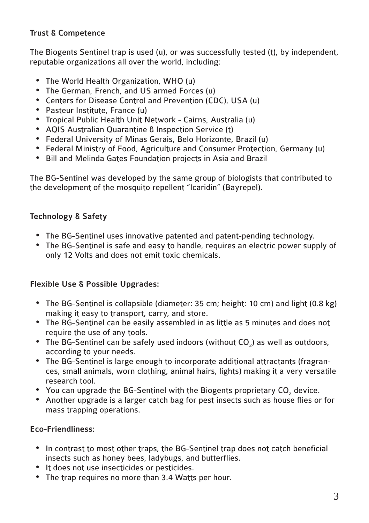#### Trust & Competence

The Biogents Sentinel trap is used (u), or was successfully tested (t), by independent, reputable organizations all over the world, including:

- • The World Health Organization, WHO (u)
- The German, French, and US armed Forces (u)
- • Centers for Disease Control and Prevention (CDC), USA (u)
- Pasteur Institute, France (u)
- • Tropical Public Health Unit Network Cairns, Australia (u)
- • AQIS Australian Quarantine & Inspection Service (t)
- • Federal University of Minas Gerais, Belo Horizonte, Brazil (u)
- • Federal Ministry of Food, Agriculture and Consumer Protection, Germany (u)
- • Bill and Melinda Gates Foundation projects in Asia and Brazil

The BG-Sentinel was developed by the same group of biologists that contributed to the development of the mosquito repellent "Icaridin" (Bayrepel).

#### Technology & Safety

- The BG-Sentinel uses innovative patented and patent-pending technology.
- • The BG-Sentinel is safe and easy to handle, requires an electric power supply of only 12 Volts and does not emit toxic chemicals.

#### Flexible Use & Possible Upgrades:

- • The BG-Sentinel is collapsible (diameter: 35 cm; height: 10 cm) and light (0.8 kg) making it easy to transport, carry, and store.
- • The BG-Sentinel can be easily assembled in as little as 5 minutes and does not require the use of any tools.
- The BG-Sentinel can be safely used indoors (without CO<sub>2</sub>) as well as outdoors, according to your needs.
- The BG-Sentinel is large enough to incorporate additional attractants (fragrances, small animals, worn clothing, animal hairs, lights) making it a very versatile research tool.
- You can upgrade the BG-Sentinel with the Biogents proprietary CO<sub>2</sub> device.
- • Another upgrade is a larger catch bag for pest insects such as house flies or for mass trapping operations.

#### Eco-Friendliness:

- In contrast to most other traps, the BG-Sentinel trap does not catch beneficial insects such as honey bees, ladybugs, and butterflies.
- It does not use insecticides or pesticides.
- The trap requires no more than 3.4 Watts per hour.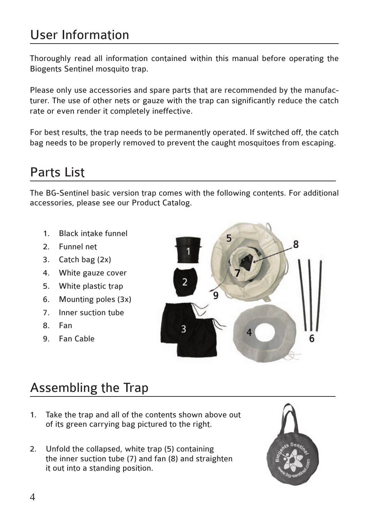## User Information

Thoroughly read all information contained within this manual before operating the Biogents Sentinel mosquito trap.

Please only use accessories and spare parts that are recommended by the manufacturer. The use of other nets or gauze with the trap can significantly reduce the catch rate or even render it completely ineffective.

For best results, the trap needs to be permanently operated. If switched off, the catch bag needs to be properly removed to prevent the caught mosquitoes from escaping.

## Parts List

The BG-Sentinel basic version trap comes with the following contents. For additional accessories, please see our Product Catalog.

- 1. Black intake funnel
- 2. Funnel net
- 3. Catch bag (2x)
- 4. White gauze cover
- 5. White plastic trap
- 6. Mounting poles (3x)
- 7. Inner suction tube
- 8. Fan
- 9. Fan Cable



## Assembling the Trap

- 1. Take the trap and all of the contents shown above out of its green carrying bag pictured to the right.
- 2. Unfold the collapsed, white trap (5) containing the inner suction tube (7) and fan (8) and straighten it out into a standing position.

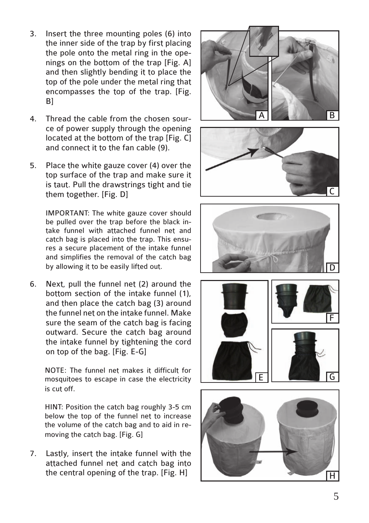- 3. Insert the three mounting poles (6) into the inner side of the trap by first placing the pole onto the metal ring in the openings on the bottom of the trap [Fig. A] and then slightly bending it to place the top of the pole under the metal ring that encompasses the top of the trap. [Fig. B]
- 4. Thread the cable from the chosen source of power supply through the opening located at the bottom of the trap [Fig. C] and connect it to the fan cable (9).
- 5. Place the white gauze cover (4) over the top surface of the trap and make sure it is taut. Pull the drawstrings tight and tie them together. [Fig. D]

IMPORTANT: The white gauze cover should be pulled over the trap before the black intake funnel with attached funnel net and catch bag is placed into the trap. This ensures a secure placement of the intake funnel and simplifies the removal of the catch bag by allowing it to be easily lifted out.

6. Next, pull the funnel net (2) around the bottom section of the intake funnel (1), and then place the catch bag (3) around the funnel net on the intake funnel. Make sure the seam of the catch bag is facing outward. Secure the catch bag around the intake funnel by tightening the cord on top of the bag. [Fig. E-G]

NOTE: The funnel net makes it difficult for mosquitoes to escape in case the electricity is cut off.

HINT: Position the catch bag roughly 3-5 cm below the top of the funnel net to increase the volume of the catch bag and to aid in removing the catch bag. [Fig. G]

7. Lastly, insert the intake funnel with the attached funnel net and catch bag into the central opening of the trap. [Fig. H]









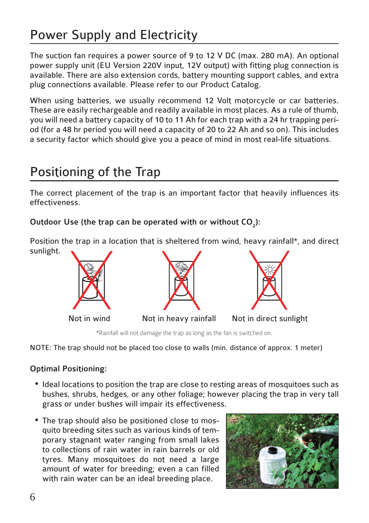## Power Supply and Electricity

The suction fan requires a power source of 9 to 12 V DC (max. 280 mA). An optional power supply unit (EU Version 220V input, 12V output) with fitting plug connection is available. There are also extension cords, battery mounting support cables, and extra plug connections available. Please refer to our Product Catalog.

When using batteries, we usually recommend 12 Volt motorcycle or car batteries. These are easily rechargeable and readily available in most places. As a rule of thumb, you will need a battery capacity of 10 to 11 Ah for each trap with a 24 hr trapping period (for a 48 hr period you will need a capacity of 20 to 22 Ah and so on). This includes a security factor which should give you a peace of mind in most real-life situations.

## Positioning of the Trap

The correct placement of the trap is an important factor that heavily influences its effectiveness.

Outdoor Use (the trap can be operated with or without  $CO_2$ ):

Position the trap in a location that is sheltered from wind, heavy rainfall\*, and direct sunlight.



\*Rainfall will not damage the trap as long as the fan is switched on.

NOTE: The trap should not be placed too close to walls (min. distance of approx. 1 meter)

#### Optimal Positioning:

- Ideal locations to position the trap are close to resting areas of mosquitoes such as bushes, shrubs, hedges, or any other foliage; however placing the trap in very tall grass or under bushes will impair its effectiveness.
- The trap should also be positioned close to mosquito breeding sites such as various kinds of temporary stagnant water ranging from small lakes to collections of rain water in rain barrels or old tyres. Many mosquitoes do not need a large amount of water for breeding; even a can filled with rain water can be an ideal breeding place.

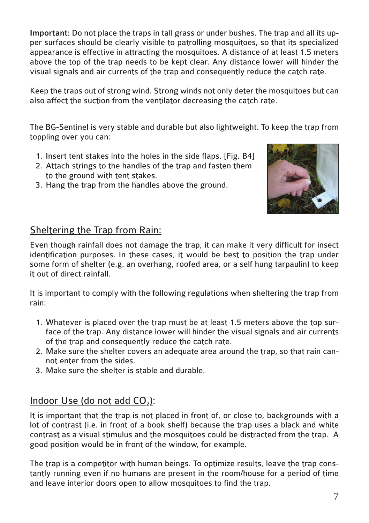Important: Do not place the traps in tall grass or under bushes. The trap and all its upper surfaces should be clearly visible to patrolling mosquitoes, so that its specialized appearance is effective in attracting the mosquitoes. A distance of at least 1.5 meters above the top of the trap needs to be kept clear. Any distance lower will hinder the visual signals and air currents of the trap and consequently reduce the catch rate.

Keep the traps out of strong wind. Strong winds not only deter the mosquitoes but can also affect the suction from the ventilator decreasing the catch rate.

The BG-Sentinel is very stable and durable but also lightweight. To keep the trap from toppling over you can:

- 1. Insert tent stakes into the holes in the side flaps. [Fig. B4]
- 2. Attach strings to the handles of the trap and fasten them to the ground with tent stakes.
- 3. Hang the trap from the handles above the ground.



#### Sheltering the Trap from Rain:

Even though rainfall does not damage the trap, it can make it very difficult for insect identification purposes. In these cases, it would be best to position the trap under some form of shelter (e.g. an overhang, roofed area, or a self hung tarpaulin) to keep it out of direct rainfall.

It is important to comply with the following regulations when sheltering the trap from rain:

- 1. Whatever is placed over the trap must be at least 1.5 meters above the top surface of the trap. Any distance lower will hinder the visual signals and air currents of the trap and consequently reduce the catch rate.
- 2. Make sure the shelter covers an adequate area around the trap, so that rain cannot enter from the sides.
- 3. Make sure the shelter is stable and durable.

#### Indoor Use (do not add  $CO<sub>2</sub>$ ):

It is important that the trap is not placed in front of, or close to, backgrounds with a lot of contrast (i.e. in front of a book shelf) because the trap uses a black and white contrast as a visual stimulus and the mosquitoes could be distracted from the trap. A good position would be in front of the window, for example.

The trap is a competitor with human beings. To optimize results, leave the trap constantly running even if no humans are present in the room/house for a period of time and leave interior doors open to allow mosquitoes to find the trap.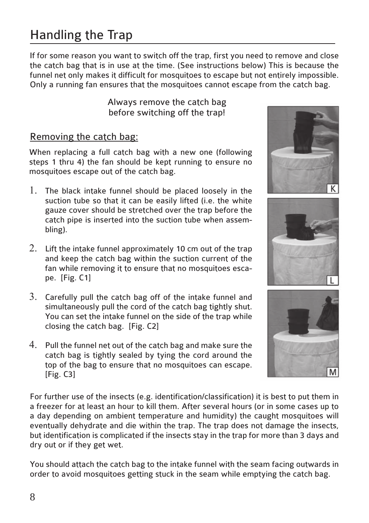## Handling the Trap

If for some reason you want to switch off the trap, first you need to remove and close the catch bag that is in use at the time. (See instructions below) This is because the funnel net only makes it difficult for mosquitoes to escape but not entirely impossible. Only a running fan ensures that the mosquitoes cannot escape from the catch bag.

> Always remove the catch bag before switching off the trap!

#### Removing the catch bag:

When replacing a full catch bag with a new one (following steps 1 thru 4) the fan should be kept running to ensure no mosquitoes escape out of the catch bag.

- 1. The black intake funnel should be placed loosely in the suction tube so that it can be easily lifted (i.e. the white gauze cover should be stretched over the trap before the catch pipe is inserted into the suction tube when assembling).
- 2. Lift the intake funnel approximately 10 cm out of the trap and keep the catch bag within the suction current of the fan while removing it to ensure that no mosquitoes escape. [Fig. C1]
- 3. Carefully pull the catch bag off of the intake funnel and simultaneously pull the cord of the catch bag tightly shut. You can set the intake funnel on the side of the trap while closing the catch bag. [Fig. C2]
- 4. Pull the funnel net out of the catch bag and make sure the catch bag is tightly sealed by tying the cord around the top of the bag to ensure that no mosquitoes can escape. [Fig. C3]



You should attach the catch bag to the intake funnel with the seam facing outwards in order to avoid mosquitoes getting stuck in the seam while emptying the catch bag.





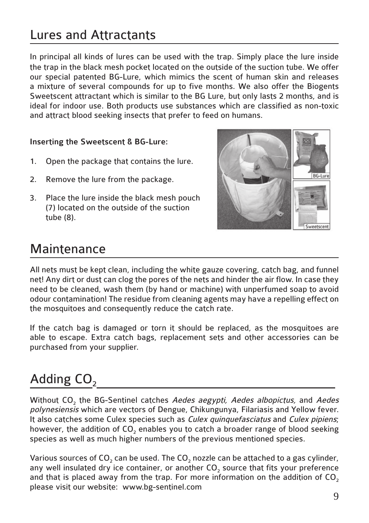## Lures and Attractants

In principal all kinds of lures can be used with the trap. Simply place the lure inside the trap in the black mesh pocket located on the outside of the suction tube. We offer our special patented BG-Lure, which mimics the scent of human skin and releases a mixture of several compounds for up to five months. We also offer the Biogents Sweetscent attractant which is similar to the BG Lure, but only lasts 2 months, and is ideal for indoor use. Both products use substances which are classified as non-toxic and attract blood seeking insects that prefer to feed on humans.

#### Inserting the Sweetscent & BG-Lure:

- 1. Open the package that contains the lure.
- 2. Remove the lure from the package.
- 3. Place the lure inside the black mesh pouch (7) located on the outside of the suction tube (8).



### **Maintenance**

All nets must be kept clean, including the white gauze covering, catch bag, and funnel net! Any dirt or dust can clog the pores of the nets and hinder the air flow. In case they need to be cleaned, wash them (by hand or machine) with unperfumed soap to avoid odour contamination! The residue from cleaning agents may have a repelling effect on the mosquitoes and consequently reduce the catch rate.

If the catch bag is damaged or torn it should be replaced, as the mosquitoes are able to escape. Extra catch bags, replacement sets and other accessories can be purchased from your supplier.

## Adding  $CO<sub>2</sub>$

Without CO<sub>2</sub> the BG-Sentinel catches Aedes aegypti, Aedes albopictus, and Aedes polynesiensis which are vectors of Dengue, Chikungunya, Filariasis and Yellow fever. It also catches some Culex species such as *Culex quinquefasciatus* and *Culex pipiens*; however, the addition of CO<sub>2</sub> enables you to catch a broader range of blood seeking species as well as much higher numbers of the previous mentioned species.

Various sources of  $CO<sub>2</sub>$  can be used. The  $CO<sub>2</sub>$  nozzle can be attached to a gas cylinder, any well insulated dry ice container, or another CO<sub>2</sub> source that fits your preference and that is placed away from the trap. For more information on the addition of  $CO<sub>2</sub>$ please visit our website: www.bg-sentinel.com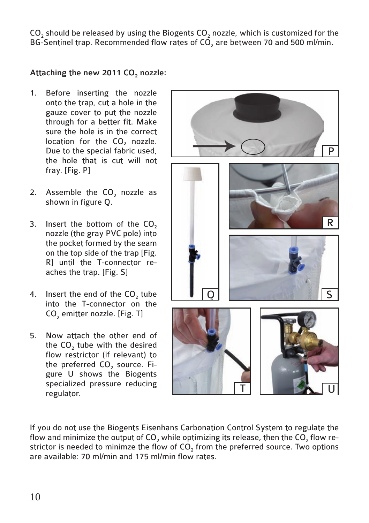$CO<sub>2</sub>$  should be released by using the Biogents  $CO<sub>2</sub>$  nozzle, which is customized for the BG-Sentinel trap. Recommended flow rates of CO<sub>2</sub> are between 70 and 500 ml/min.

#### Attaching the new 2011  $CO<sub>2</sub>$  nozzle:

- 1. Before inserting the nozzle onto the trap, cut a hole in the gauze cover to put the nozzle through for a better fit. Make sure the hole is in the correct location for the  $CO<sub>2</sub>$  nozzle. Due to the special fabric used, the hole that is cut will not fray. [Fig. P]
- 2. Assemble the CO<sub>2</sub> nozzle as shown in figure Q.
- 3. Insert the bottom of the  $CO<sub>2</sub>$ nozzle (the gray PVC pole) into the pocket formed by the seam on the top side of the trap [Fig. R] until the T-connector reaches the trap. [Fig. S]
- 4. Insert the end of the CO<sub>2</sub> tube into the T-connector on the CO<sub>2</sub> emitter nozzle. [Fig. T]
- 5. Now attach the other end of the  $CO<sub>2</sub>$  tube with the desired flow restrictor (if relevant) to the preferred CO<sub>2</sub> source. Figure U shows the Biogents specialized pressure reducing regulator.



If you do not use the Biogents Eisenhans Carbonation Control System to regulate the flow and minimize the output of CO<sub>2</sub> while optimizing its release, then the  $CO<sub>2</sub>$  flow restrictor is needed to minimze the flow of CO<sub>2</sub> from the preferred source. Two options are available: 70 ml/min and 175 ml/min flow rates.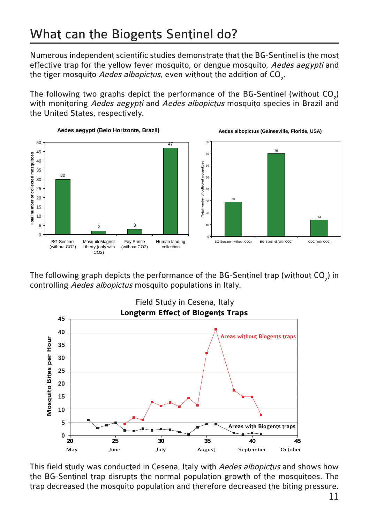Numerous independent scientific studies demonstrate that the BG-Sentinel is the most effective trap for the yellow fever mosquito, or dengue mosquito, Aedes aegypti and the tiger mosquito *Aedes albopictus,* even without the addition of CO<sub>2</sub>.

The following two graphs depict the performance of the BG-Sentinel (without  $CO<sub>2</sub>$ ) with monitoring Aedes aegypti and Aedes albopictus mosquito species in Brazil and the United States, respectively.



The following graph depicts the performance of the BG-Sentinel trap (without  $CO_2$ ) in controlling Aedes albopictus mosquito populations in Italy.



This field study was conducted in Cesena, Italy with Aedes albopictus and shows how the BG-Sentinel trap disrupts the normal population growth of the mosquitoes. The trap decreased the mosquito population and therefore decreased the biting pressure.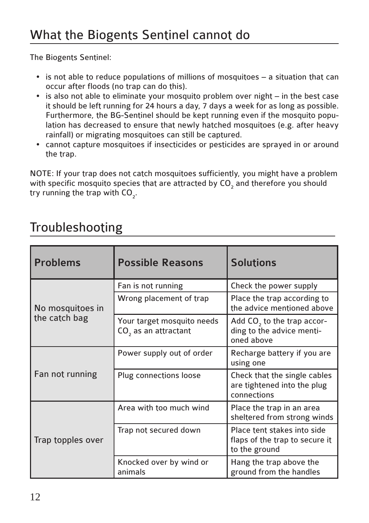The Biogents Sentinel:

Ī

- is not able to reduce populations of millions of mosquitoes a situation that can occur after floods (no trap can do this).
- is also not able to eliminate your mosquito problem over night in the best case it should be left running for 24 hours a day, 7 days a week for as long as possible. Furthermore, the BG-Sentinel should be kept running even if the mosquito population has decreased to ensure that newly hatched mosquitoes (e.g. after heavy rainfall) or migrating mosquitoes can still be captured.
- cannot capture mosquitoes if insecticides or pesticides are sprayed in or around the trap.

NOTE: If your trap does not catch mosquitoes sufficiently, you might have a problem with specific mosquito species that are attracted by  $\mathsf{CO}_2$  and therefore you should try running the trap with  $CO_{2}$ .

## Troubleshooting

| <b>Problems</b>                   | <b>Possible Reasons</b>                                        | <b>Solutions</b>                                                               |
|-----------------------------------|----------------------------------------------------------------|--------------------------------------------------------------------------------|
| No mosquitoes in<br>the catch bag | Fan is not running                                             | Check the power supply                                                         |
|                                   | Wrong placement of trap                                        | Place the trap according to<br>the advice mentioned above                      |
|                                   | Your target mosquito needs<br>CO <sub>2</sub> as an attractant | Add $CO2$ to the trap accor-<br>ding to the advice menti-<br>oned above        |
| Fan not running                   | Power supply out of order                                      | Recharge battery if you are<br>using one                                       |
|                                   | Plug connections loose                                         | Check that the single cables<br>are tightened into the plug<br>connections     |
| Trap topples over                 | Area with too much wind                                        | Place the trap in an area<br>sheltered from strong winds                       |
|                                   | Trap not secured down                                          | Place tent stakes into side<br>flaps of the trap to secure it<br>to the ground |
|                                   | Knocked over by wind or<br>animals                             | Hang the trap above the<br>ground from the handles                             |